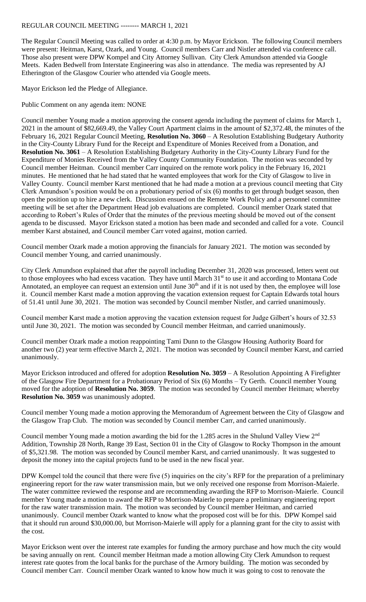## REGULAR COUNCIL MEETING -------- MARCH 1, 2021

The Regular Council Meeting was called to order at 4:30 p.m. by Mayor Erickson. The following Council members were present: Heitman, Karst, Ozark, and Young. Council members Carr and Nistler attended via conference call. Those also present were DPW Kompel and City Attorney Sullivan. City Clerk Amundson attended via Google Meets. Kaden Bedwell from Interstate Engineering was also in attendance. The media was represented by AJ Etherington of the Glasgow Courier who attended via Google meets.

Mayor Erickson led the Pledge of Allegiance.

Public Comment on any agenda item: NONE

Council member Young made a motion approving the consent agenda including the payment of claims for March 1, 2021 in the amount of \$82,669.49, the Valley Court Apartment claims in the amount of \$2,372.48, the minutes of the February 16, 2021 Regular Council Meeting, **Resolution No. 3060** – A Resolution Establishing Budgetary Authority in the City-County Library Fund for the Receipt and Expenditure of Monies Received from a Donation, and **Resolution No. 3061** – A Resolution Establishing Budgetary Authority in the City-County Library Fund for the Expenditure of Monies Received from the Valley County Community Foundation. The motion was seconded by Council member Heitman. Council member Carr inquired on the remote work policy in the February 16, 2021 minutes. He mentioned that he had stated that he wanted employees that work for the City of Glasgow to live in Valley County. Council member Karst mentioned that he had made a motion at a previous council meeting that City Clerk Amundson's position would be on a probationary period of six (6) months to get through budget season, then open the position up to hire a new clerk. Discussion ensued on the Remote Work Policy and a personnel committee meeting will be set after the Department Head job evaluations are completed. Council member Ozark stated that according to Robert's Rules of Order that the minutes of the previous meeting should be moved out of the consent agenda to be discussed. Mayor Erickson stated a motion has been made and seconded and called for a vote. Council member Karst abstained, and Council member Carr voted against, motion carried.

Council member Ozark made a motion approving the financials for January 2021. The motion was seconded by Council member Young, and carried unanimously.

City Clerk Amundson explained that after the payroll including December 31, 2020 was processed, letters went out to those employees who had excess vacation. They have until March 31<sup>st</sup> to use it and according to Montana Code Annotated, an employee can request an extension until June  $30<sup>th</sup>$  and if it is not used by then, the employee will lose it. Council member Karst made a motion approving the vacation extension request for Captain Edwards total hours of 51.41 until June 30, 2021. The motion was seconded by Council member Nistler, and carried unanimously.

Council member Karst made a motion approving the vacation extension request for Judge Gilbert's hours of 32.53 until June 30, 2021. The motion was seconded by Council member Heitman, and carried unanimously.

Council member Ozark made a motion reappointing Tami Dunn to the Glasgow Housing Authority Board for another two (2) year term effective March 2, 2021. The motion was seconded by Council member Karst, and carried unanimously.

Mayor Erickson introduced and offered for adoption **Resolution No. 3059** – A Resolution Appointing A Firefighter of the Glasgow Fire Department for a Probationary Period of Six (6) Months – Ty Gerth. Council member Young moved for the adoption of **Resolution No. 3059**. The motion was seconded by Council member Heitman; whereby **Resolution No. 3059** was unanimously adopted.

Council member Young made a motion approving the Memorandum of Agreement between the City of Glasgow and the Glasgow Trap Club. The motion was seconded by Council member Carr, and carried unanimously.

Council member Young made a motion awarding the bid for the 1.285 acres in the Shulund Valley View 2nd Addition, Township 28 North, Range 39 East, Section 01 in the City of Glasgow to Rocky Thompson in the amount of \$5,321.98. The motion was seconded by Council member Karst, and carried unanimously. It was suggested to deposit the money into the capital projects fund to be used in the new fiscal year.

DPW Kompel told the council that there were five (5) inquiries on the city's RFP for the preparation of a preliminary engineering report for the raw water transmission main, but we only received one response from Morrison-Maierle. The water committee reviewed the response and are recommending awarding the RFP to Morrison-Maierle. Council member Young made a motion to award the RFP to Morrison-Maierle to prepare a preliminary engineering report for the raw water transmission main. The motion was seconded by Council member Heitman, and carried unanimously. Council member Ozark wanted to know what the proposed cost will be for this. DPW Kompel said that it should run around \$30,000.00, but Morrison-Maierle will apply for a planning grant for the city to assist with the cost.

Mayor Erickson went over the interest rate examples for funding the armory purchase and how much the city would be saving annually on rent. Council member Heitman made a motion allowing City Clerk Amundson to request interest rate quotes from the local banks for the purchase of the Armory building. The motion was seconded by Council member Carr. Council member Ozark wanted to know how much it was going to cost to renovate the